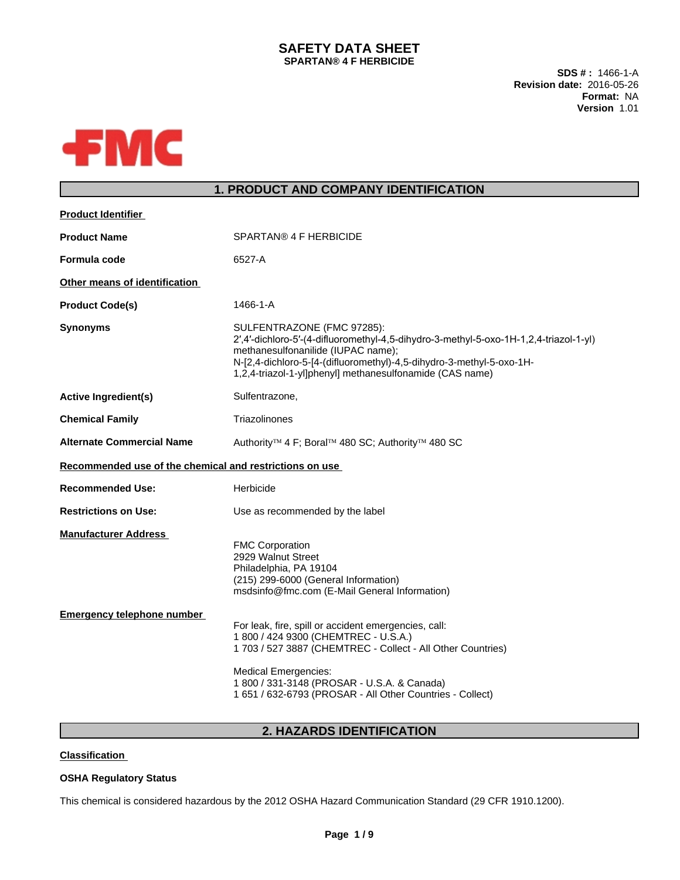## **SAFETY DATA SHEET SPARTAN® 4 F HERBICIDE**

**SDS # :** 1466-1-A **Revision date:** 2016-05-26 **Format:** NA **Version** 1.01



## **1. PRODUCT AND COMPANY IDENTIFICATION**

| <b>Product Identifier</b>                                        |                                                                                                                                                                                                                                                                                                        |
|------------------------------------------------------------------|--------------------------------------------------------------------------------------------------------------------------------------------------------------------------------------------------------------------------------------------------------------------------------------------------------|
| <b>Product Name</b>                                              | SPARTAN® 4 F HERBICIDE                                                                                                                                                                                                                                                                                 |
| <b>Formula code</b>                                              | 6527-A                                                                                                                                                                                                                                                                                                 |
| Other means of identification                                    |                                                                                                                                                                                                                                                                                                        |
| <b>Product Code(s)</b>                                           | 1466-1-A                                                                                                                                                                                                                                                                                               |
| <b>Synonyms</b>                                                  | SULFENTRAZONE (FMC 97285):<br>2',4'-dichloro-5'-(4-difluoromethyl-4,5-dihydro-3-methyl-5-oxo-1H-1,2,4-triazol-1-yl)<br>methanesulfonanilide (IUPAC name);<br>N-[2,4-dichloro-5-[4-(difluoromethyl)-4,5-dihydro-3-methyl-5-oxo-1H-<br>1,2,4-triazol-1-yl]phenyl] methanesulfonamide (CAS name)          |
| <b>Active Ingredient(s)</b>                                      | Sulfentrazone,                                                                                                                                                                                                                                                                                         |
| <b>Chemical Family</b>                                           | Triazolinones                                                                                                                                                                                                                                                                                          |
| <b>Alternate Commercial Name</b>                                 | Authority <sup>™</sup> 4 F; Boral™ 480 SC; Authority™ 480 SC                                                                                                                                                                                                                                           |
| Recommended use of the chemical and restrictions on use          |                                                                                                                                                                                                                                                                                                        |
| <b>Recommended Use:</b>                                          | Herbicide                                                                                                                                                                                                                                                                                              |
| <b>Restrictions on Use:</b>                                      | Use as recommended by the label                                                                                                                                                                                                                                                                        |
| <b>Manufacturer Address</b><br><b>Emergency telephone number</b> | <b>FMC Corporation</b><br>2929 Walnut Street<br>Philadelphia, PA 19104<br>(215) 299-6000 (General Information)<br>msdsinfo@fmc.com (E-Mail General Information)                                                                                                                                        |
|                                                                  | For leak, fire, spill or accident emergencies, call:<br>1 800 / 424 9300 (CHEMTREC - U.S.A.)<br>1 703 / 527 3887 (CHEMTREC - Collect - All Other Countries)<br><b>Medical Emergencies:</b><br>1 800 / 331-3148 (PROSAR - U.S.A. & Canada)<br>1 651 / 632-6793 (PROSAR - All Other Countries - Collect) |
|                                                                  |                                                                                                                                                                                                                                                                                                        |

# **2. HAZARDS IDENTIFICATION**

## **Classification**

## **OSHA Regulatory Status**

This chemical is considered hazardous by the 2012 OSHA Hazard Communication Standard (29 CFR 1910.1200).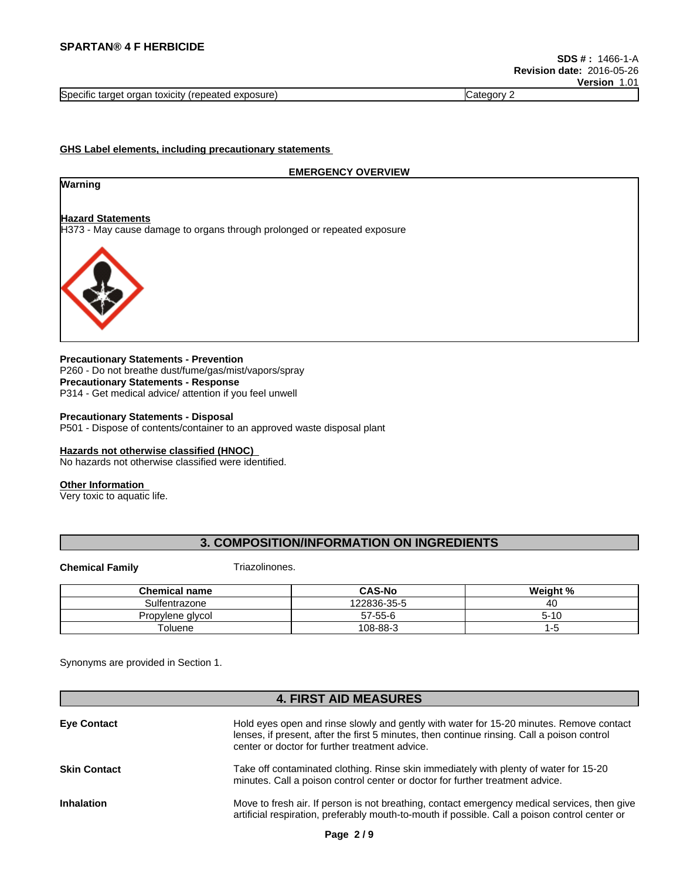Specific target organ toxicity (repeated exposure) Category 2 Category 2

#### **GHS Label elements, including precautionary statements**

#### **EMERGENCY OVERVIEW**

# **Hazard Statements**

**Warning**

H373 - May cause damage to organs through prolonged or repeated exposure



#### **Precautionary Statements - Prevention** P260 - Do not breathe dust/fume/gas/mist/vapors/spray **Precautionary Statements - Response** P314 - Get medical advice/ attention if you feel unwell

### **Precautionary Statements - Disposal**

P501 - Dispose of contents/container to an approved waste disposal plant

#### **Hazards not otherwise classified (HNOC)**

No hazards not otherwise classified were identified.

#### **Other Information**

Very toxic to aquatic life.

#### **3. COMPOSITION/INFORMATION ON INGREDIENTS**

**Chemical Family** Triazolinones.

| <b>Chemical name</b> | <b>CAS-No</b> | Weight %   |
|----------------------|---------------|------------|
| Sulfentrazone        | 122836-35-5   | ⁄! (<br>᠇◡ |
| Propylene glycol     | $57 - 55 - 6$ | . ו – ר    |
| Toluene              | 108-88-3      | пυ         |

Synonyms are provided in Section 1.

# **4. FIRST AID MEASURES Eye Contact** Hold eyes open and rinse slowly and gently with water for 15-20 minutes. Remove contact lenses, if present, after the first 5 minutes, then continue rinsing. Call a poison control center or doctor for further treatment advice. **Skin Contact** Take off contaminated clothing. Rinse skin immediately with plenty of water for 15-20 minutes. Call a poison control center or doctor for further treatment advice. **Inhalation** Move to fresh air. If person is not breathing, contact emergency medical services, then give artificial respiration, preferably mouth-to-mouth if possible. Call a poison control center or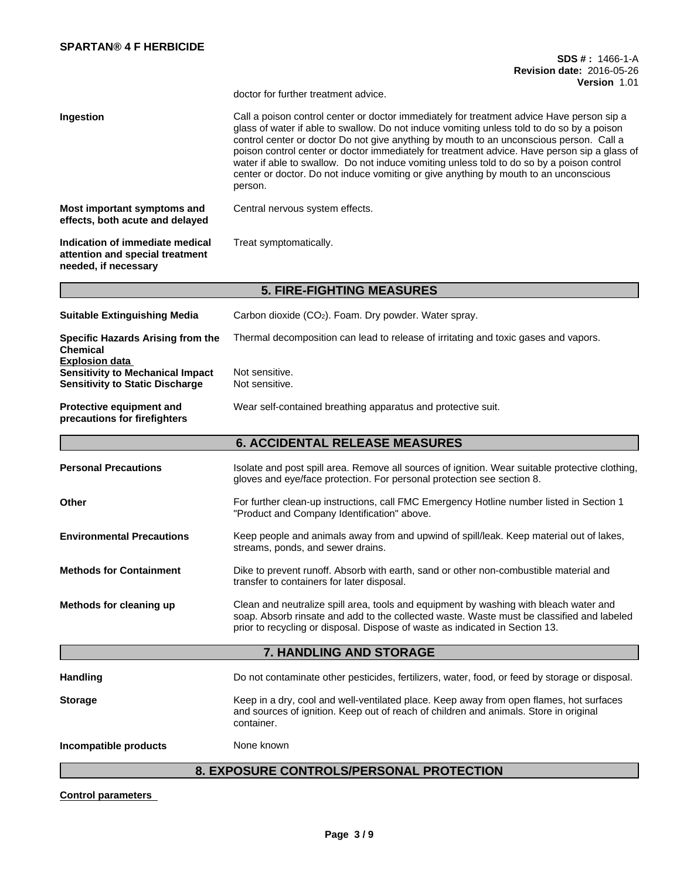|                                                                                                            | SDS #: 1466-1-A<br><b>Revision date: 2016-05-26</b><br><b>Version 1.01</b>                                                                                                                                                                                                                                                                                                                                                                                                                                                                                                         |
|------------------------------------------------------------------------------------------------------------|------------------------------------------------------------------------------------------------------------------------------------------------------------------------------------------------------------------------------------------------------------------------------------------------------------------------------------------------------------------------------------------------------------------------------------------------------------------------------------------------------------------------------------------------------------------------------------|
|                                                                                                            | doctor for further treatment advice.                                                                                                                                                                                                                                                                                                                                                                                                                                                                                                                                               |
| Ingestion                                                                                                  | Call a poison control center or doctor immediately for treatment advice Have person sip a<br>glass of water if able to swallow. Do not induce vomiting unless told to do so by a poison<br>control center or doctor Do not give anything by mouth to an unconscious person. Call a<br>poison control center or doctor immediately for treatment advice. Have person sip a glass of<br>water if able to swallow. Do not induce vomiting unless told to do so by a poison control<br>center or doctor. Do not induce vomiting or give anything by mouth to an unconscious<br>person. |
| Most important symptoms and<br>effects, both acute and delayed                                             | Central nervous system effects.                                                                                                                                                                                                                                                                                                                                                                                                                                                                                                                                                    |
| Indication of immediate medical<br>attention and special treatment<br>needed, if necessary                 | Treat symptomatically.                                                                                                                                                                                                                                                                                                                                                                                                                                                                                                                                                             |
|                                                                                                            | <b>5. FIRE-FIGHTING MEASURES</b>                                                                                                                                                                                                                                                                                                                                                                                                                                                                                                                                                   |
| <b>Suitable Extinguishing Media</b>                                                                        | Carbon dioxide (CO <sub>2</sub> ). Foam. Dry powder. Water spray.                                                                                                                                                                                                                                                                                                                                                                                                                                                                                                                  |
| Specific Hazards Arising from the<br><b>Chemical</b>                                                       | Thermal decomposition can lead to release of irritating and toxic gases and vapors.                                                                                                                                                                                                                                                                                                                                                                                                                                                                                                |
| <b>Explosion data</b><br><b>Sensitivity to Mechanical Impact</b><br><b>Sensitivity to Static Discharge</b> | Not sensitive.<br>Not sensitive.                                                                                                                                                                                                                                                                                                                                                                                                                                                                                                                                                   |
| Protective equipment and<br>precautions for firefighters                                                   | Wear self-contained breathing apparatus and protective suit.                                                                                                                                                                                                                                                                                                                                                                                                                                                                                                                       |
|                                                                                                            | <b>6. ACCIDENTAL RELEASE MEASURES</b>                                                                                                                                                                                                                                                                                                                                                                                                                                                                                                                                              |
| <b>Personal Precautions</b>                                                                                | Isolate and post spill area. Remove all sources of ignition. Wear suitable protective clothing,<br>gloves and eye/face protection. For personal protection see section 8.                                                                                                                                                                                                                                                                                                                                                                                                          |
| Other                                                                                                      | For further clean-up instructions, call FMC Emergency Hotline number listed in Section 1<br>"Product and Company Identification" above.                                                                                                                                                                                                                                                                                                                                                                                                                                            |
| <b>Environmental Precautions</b>                                                                           | Keep people and animals away from and upwind of spill/leak. Keep material out of lakes,<br>streams, ponds, and sewer drains.                                                                                                                                                                                                                                                                                                                                                                                                                                                       |
| <b>Methods for Containment</b>                                                                             | Dike to prevent runoff. Absorb with earth, sand or other non-combustible material and<br>transfer to containers for later disposal.                                                                                                                                                                                                                                                                                                                                                                                                                                                |
| Methods for cleaning up                                                                                    | Clean and neutralize spill area, tools and equipment by washing with bleach water and<br>soap. Absorb rinsate and add to the collected waste. Waste must be classified and labeled<br>prior to recycling or disposal. Dispose of waste as indicated in Section 13.                                                                                                                                                                                                                                                                                                                 |
|                                                                                                            | 7. HANDLING AND STORAGE                                                                                                                                                                                                                                                                                                                                                                                                                                                                                                                                                            |
| <b>Handling</b>                                                                                            | Do not contaminate other pesticides, fertilizers, water, food, or feed by storage or disposal.                                                                                                                                                                                                                                                                                                                                                                                                                                                                                     |
| <b>Storage</b>                                                                                             | Keep in a dry, cool and well-ventilated place. Keep away from open flames, hot surfaces<br>and sources of ignition. Keep out of reach of children and animals. Store in original<br>container.                                                                                                                                                                                                                                                                                                                                                                                     |
| Incompatible products                                                                                      | None known                                                                                                                                                                                                                                                                                                                                                                                                                                                                                                                                                                         |
|                                                                                                            | 8. EXPOSURE CONTROLS/PERSONAL PROTECTION                                                                                                                                                                                                                                                                                                                                                                                                                                                                                                                                           |

## **8. EXPOSURE CONTROLS/PERSONAL PROTECTION**

**Control parameters**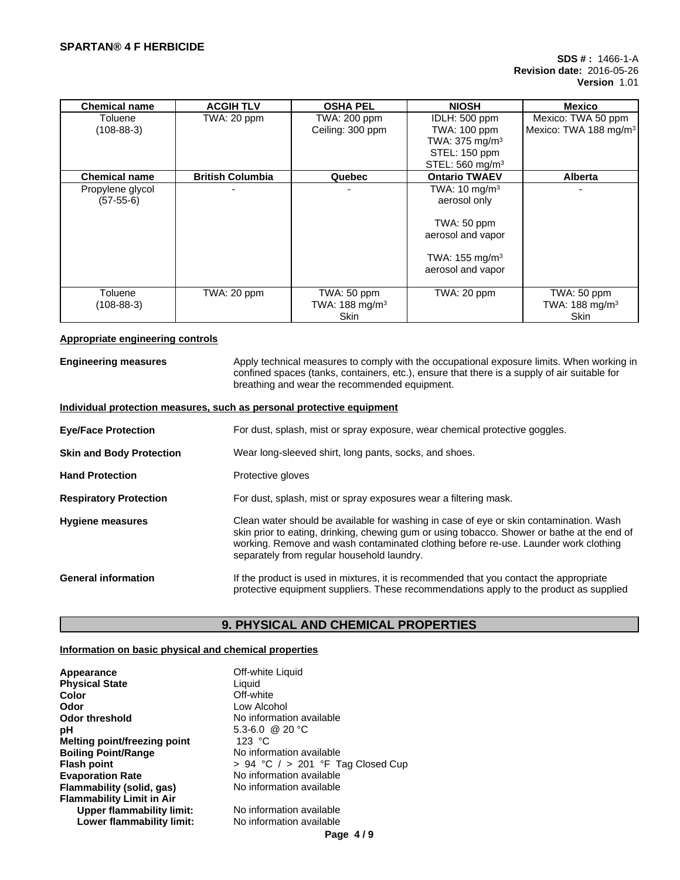| <b>Chemical name</b> | <b>ACGIH TLV</b>        | <b>OSHA PEL</b>            | <b>NIOSH</b>                | Mexico                            |
|----------------------|-------------------------|----------------------------|-----------------------------|-----------------------------------|
| Toluene              | TWA: 20 ppm             | TWA: 200 ppm               | IDLH: 500 ppm               | Mexico: TWA 50 ppm                |
| $(108-88-3)$         |                         | Ceiling: 300 ppm           | TWA: 100 ppm                | Mexico: TWA 188 mg/m <sup>3</sup> |
|                      |                         |                            | TWA: 375 mg/m <sup>3</sup>  |                                   |
|                      |                         |                            | STEL: 150 ppm               |                                   |
|                      |                         |                            | STEL: 560 mg/m <sup>3</sup> |                                   |
| <b>Chemical name</b> | <b>British Columbia</b> | Quebec                     | <b>Ontario TWAEV</b>        | <b>Alberta</b>                    |
| Propylene glycol     |                         |                            | TWA: $10 \text{ mg/m}^3$    |                                   |
| $(57-55-6)$          |                         |                            | aerosol only                |                                   |
|                      |                         |                            | TWA: 50 ppm                 |                                   |
|                      |                         |                            | aerosol and vapor           |                                   |
|                      |                         |                            | TWA: 155 mg/m <sup>3</sup>  |                                   |
|                      |                         |                            | aerosol and vapor           |                                   |
| Toluene              | TWA: 20 ppm             | TWA: 50 ppm                | TWA: 20 ppm                 | TWA: 50 ppm                       |
| $(108-88-3)$         |                         | TWA: 188 mg/m <sup>3</sup> |                             | TWA: 188 mg/m <sup>3</sup>        |
|                      |                         | <b>Skin</b>                |                             | <b>Skin</b>                       |

#### **Appropriate engineering controls**

**Engineering measures** Apply technical measures to comply with the occupational exposure limits. When working in confined spaces (tanks, containers, etc.), ensure that there is a supply of air suitable for breathing and wear the recommended equipment.

#### **Individual protection measures, such as personal protective equipment**

| <b>Eye/Face Protection</b>      | For dust, splash, mist or spray exposure, wear chemical protective goggles.                                                                                                                                                                                                                                                |  |  |
|---------------------------------|----------------------------------------------------------------------------------------------------------------------------------------------------------------------------------------------------------------------------------------------------------------------------------------------------------------------------|--|--|
| <b>Skin and Body Protection</b> | Wear long-sleeved shirt, long pants, socks, and shoes.                                                                                                                                                                                                                                                                     |  |  |
| <b>Hand Protection</b>          | Protective gloves                                                                                                                                                                                                                                                                                                          |  |  |
| <b>Respiratory Protection</b>   | For dust, splash, mist or spray exposures wear a filtering mask.                                                                                                                                                                                                                                                           |  |  |
| <b>Hygiene measures</b>         | Clean water should be available for washing in case of eye or skin contamination. Wash<br>skin prior to eating, drinking, chewing gum or using tobacco. Shower or bathe at the end of<br>working. Remove and wash contaminated clothing before re-use. Launder work clothing<br>separately from regular household laundry. |  |  |
| <b>General information</b>      | If the product is used in mixtures, it is recommended that you contact the appropriate<br>protective equipment suppliers. These recommendations apply to the product as supplied                                                                                                                                           |  |  |

## **9. PHYSICAL AND CHEMICAL PROPERTIES**

## **Information on basic physical and chemical properties**

| Appearance                       | Off-white Liquid                      |
|----------------------------------|---------------------------------------|
| <b>Physical State</b>            | Liquid                                |
| Color                            | Off-white                             |
| Odor                             | Low Alcohol                           |
| Odor threshold                   | No information available              |
| рH                               | 5.3-6.0 @ 20 °C                       |
| Melting point/freezing point     | 123 $^{\circ}$ C                      |
| <b>Boiling Point/Range</b>       | No information available              |
| <b>Flash point</b>               | $> 94$ °C $/ > 201$ °F Tag Closed Cup |
| <b>Evaporation Rate</b>          | No information available              |
| Flammability (solid, gas)        | No information available              |
| <b>Flammability Limit in Air</b> |                                       |
| Upper flammability limit:        | No information available              |
| Lower flammability limit:        | No information available              |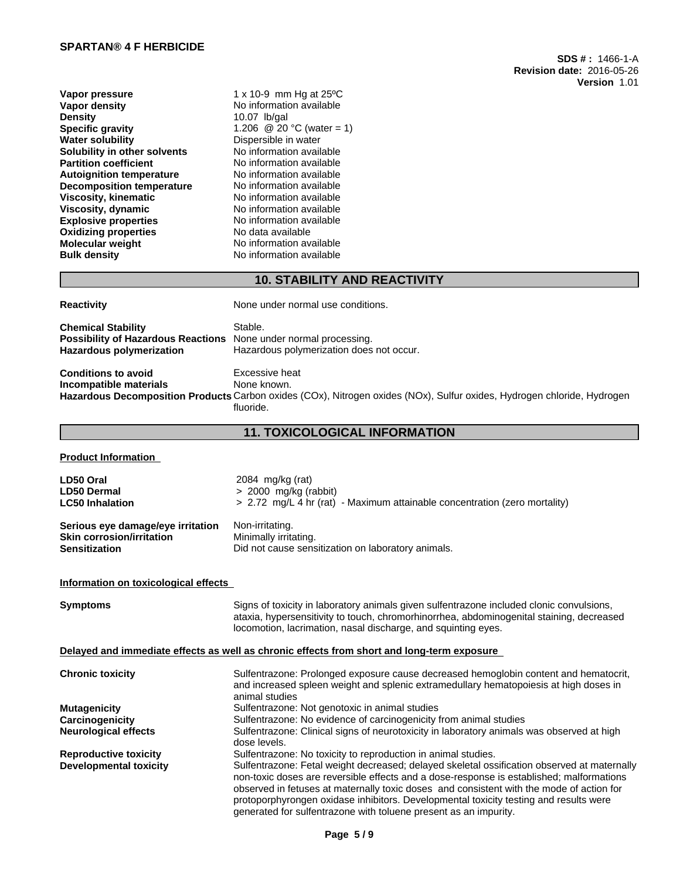**Vapor pressure** 1 x 10-9 mm Hg at 25<sup>o</sup>C<br> **Vapor density** No information available **Vapor density**<br> **Density**<br> **Density**<br>  $10.07$  lb/gal **Density** 10.07 lb/gal<br> **Specific gravity** 1.206 @ 20 **Specific gravity** 1.206 @ 20 °C (water = 1)<br> **Water solubility** Dispersible in water **Solubility in other solvents**<br>Partition coefficient **Autoignition temperature No information available**<br> **Decomposition temperature No information available Decomposition temperature** No information available<br> **Viscosity, kinematic** No information available **Viscosity, kinematic<br>Viscosity, dynamic Explosive properties**<br> **Oxidizing properties**<br>
No data available **Oxidizing properties**<br>Molecular weight **Bulk density** No information available

**Dispersible in water<br>No information available** No information available<br>No information available No information available<br>No information available **No information available** 

## **10. STABILITY AND REACTIVITY**

| <b>Reactivity</b>                                                                                         | None under normal use conditions.                                                                                                                                     |
|-----------------------------------------------------------------------------------------------------------|-----------------------------------------------------------------------------------------------------------------------------------------------------------------------|
| <b>Chemical Stability</b><br><b>Possibility of Hazardous Reactions</b><br><b>Hazardous polymerization</b> | Stable.<br>None under normal processing.<br>Hazardous polymerization does not occur.                                                                                  |
| <b>Conditions to avoid</b><br>Incompatible materials                                                      | Excessive heat<br>None known.<br>Hazardous Decomposition Products Carbon oxides (COx), Nitrogen oxides (NOx), Sulfur oxides, Hydrogen chloride, Hydrogen<br>fluoride. |

## **11. TOXICOLOGICAL INFORMATION**

**Product Information**

| LD50 Oral                         | $2084 \,$ mg/kg (rat)                                                      |
|-----------------------------------|----------------------------------------------------------------------------|
| <b>LD50 Dermal</b>                | $> 2000$ mg/kg (rabbit)                                                    |
| <b>LC50 Inhalation</b>            | > 2.72 mg/L 4 hr (rat) - Maximum attainable concentration (zero mortality) |
| Serious eye damage/eye irritation | Non-irritating.                                                            |
| <b>Skin corrosion/irritation</b>  | Minimally irritating.                                                      |
| <b>Sensitization</b>              | Did not cause sensitization on laboratory animals.                         |

#### **Information on toxicological effects**

| <b>Symptoms</b>               | Signs of toxicity in laboratory animals given sulfentrazone included clonic convulsions,<br>ataxia, hypersensitivity to touch, chromorhinorrhea, abdominogenital staining, decreased<br>locomotion, lacrimation, nasal discharge, and squinting eyes.                                                                                                                                                                                            |
|-------------------------------|--------------------------------------------------------------------------------------------------------------------------------------------------------------------------------------------------------------------------------------------------------------------------------------------------------------------------------------------------------------------------------------------------------------------------------------------------|
|                               | Delayed and immediate effects as well as chronic effects from short and long-term exposure                                                                                                                                                                                                                                                                                                                                                       |
| <b>Chronic toxicity</b>       | Sulfentrazone: Prolonged exposure cause decreased hemoglobin content and hematocrit,<br>and increased spleen weight and splenic extramedullary hematopoiesis at high doses in<br>animal studies                                                                                                                                                                                                                                                  |
| <b>Mutagenicity</b>           | Sulfentrazone: Not genotoxic in animal studies                                                                                                                                                                                                                                                                                                                                                                                                   |
| Carcinogenicity               | Sulfentrazone: No evidence of carcinogenicity from animal studies                                                                                                                                                                                                                                                                                                                                                                                |
| <b>Neurological effects</b>   | Sulfentrazone: Clinical signs of neurotoxicity in laboratory animals was observed at high<br>dose levels.                                                                                                                                                                                                                                                                                                                                        |
| <b>Reproductive toxicity</b>  | Sulfentrazone: No toxicity to reproduction in animal studies.                                                                                                                                                                                                                                                                                                                                                                                    |
| <b>Developmental toxicity</b> | Sulfentrazone: Fetal weight decreased; delayed skeletal ossification observed at maternally<br>non-toxic doses are reversible effects and a dose-response is established; malformations<br>observed in fetuses at maternally toxic doses and consistent with the mode of action for<br>protoporphyrongen oxidase inhibitors. Developmental toxicity testing and results were<br>generated for sulfentrazone with toluene present as an impurity. |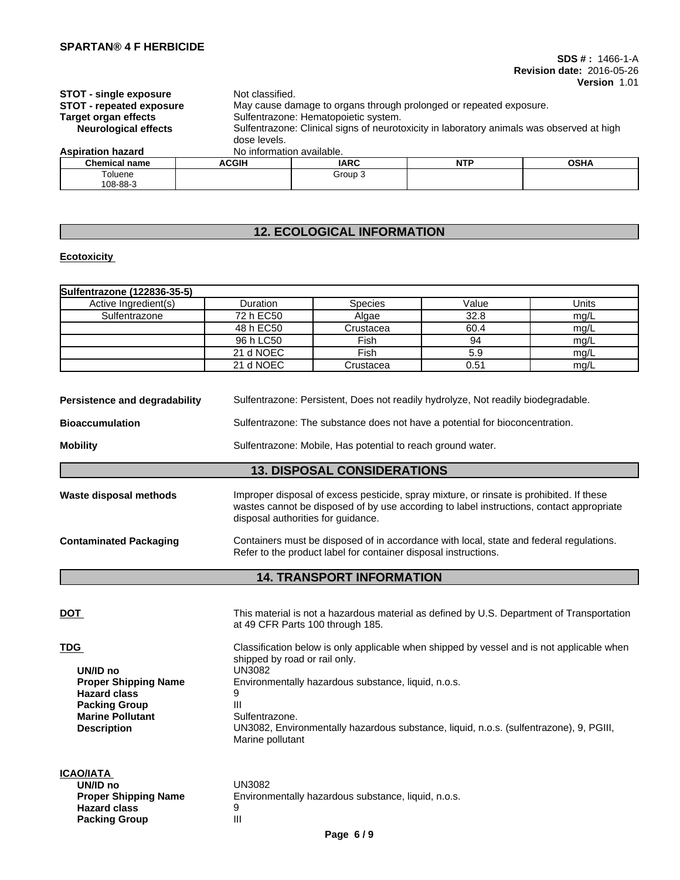108-88-3

**Hazard class** 9<br> **Packing Group** 11

**Packing Group** 

| <b>STOT - single exposure</b><br><b>STOT - repeated exposure</b><br>Target organ effects<br><b>Neurological effects</b> | dose levels.              | Not classified.<br>May cause damage to organs through prolonged or repeated exposure.<br>Sulfentrazone: Hematopoietic system.<br>Sulfentrazone: Clinical signs of neurotoxicity in laboratory animals was observed at high |            |             |  |
|-------------------------------------------------------------------------------------------------------------------------|---------------------------|----------------------------------------------------------------------------------------------------------------------------------------------------------------------------------------------------------------------------|------------|-------------|--|
| <b>Aspiration hazard</b>                                                                                                | No information available. |                                                                                                                                                                                                                            |            |             |  |
| <b>Chemical name</b>                                                                                                    | <b>ACGIH</b>              | <b>IARC</b>                                                                                                                                                                                                                | <b>NTP</b> | <b>OSHA</b> |  |
| Toluene                                                                                                                 |                           | Group 3                                                                                                                                                                                                                    |            |             |  |

# **12. ECOLOGICAL INFORMATION**

## **Ecotoxicity**

| Sulfentrazone (122836-35-5) |           |                |       |       |
|-----------------------------|-----------|----------------|-------|-------|
| Active Ingredient(s)        | Duration  | <b>Species</b> | Value | Units |
| Sulfentrazone               | 72 h EC50 | Algae          | 32.8  | mg/L  |
|                             | 48 h EC50 | Crustacea      | 60.4  | mg/L  |
|                             | 96 h LC50 | Fish           | 94    | mg/L  |
|                             | 21 d NOEC | Fish           | 5.9   | mg/L  |
|                             | 21 d NOEC | Crustacea      | 0.51  | mg/L  |

| Persistence and degradability<br>Sulfentrazone: Persistent, Does not readily hydrolyze, Not readily biodegradable. |                                                                                                                                                                                                                            |  |  |
|--------------------------------------------------------------------------------------------------------------------|----------------------------------------------------------------------------------------------------------------------------------------------------------------------------------------------------------------------------|--|--|
| Sulfentrazone: The substance does not have a potential for bioconcentration.<br><b>Bioaccumulation</b>             |                                                                                                                                                                                                                            |  |  |
| <b>Mobility</b><br>Sulfentrazone: Mobile, Has potential to reach ground water.                                     |                                                                                                                                                                                                                            |  |  |
|                                                                                                                    | <b>13. DISPOSAL CONSIDERATIONS</b>                                                                                                                                                                                         |  |  |
| Waste disposal methods                                                                                             | Improper disposal of excess pesticide, spray mixture, or rinsate is prohibited. If these<br>wastes cannot be disposed of by use according to label instructions, contact appropriate<br>disposal authorities for quidance. |  |  |
| <b>Contaminated Packaging</b>                                                                                      | Containers must be disposed of in accordance with local, state and federal regulations.<br>Refer to the product label for container disposal instructions.                                                                 |  |  |

# **14. TRANSPORT INFORMATION**

| <b>DOT</b>                                                                                                                                            | This material is not a hazardous material as defined by U.S. Department of Transportation<br>at 49 CFR Parts 100 through 185.                                                                                                                                                                                                         |
|-------------------------------------------------------------------------------------------------------------------------------------------------------|---------------------------------------------------------------------------------------------------------------------------------------------------------------------------------------------------------------------------------------------------------------------------------------------------------------------------------------|
| <b>TDG</b><br>UN/ID no<br><b>Proper Shipping Name</b><br><b>Hazard class</b><br><b>Packing Group</b><br><b>Marine Pollutant</b><br><b>Description</b> | Classification below is only applicable when shipped by vessel and is not applicable when<br>shipped by road or rail only.<br>UN3082<br>Environmentally hazardous substance, liquid, n.o.s.<br>9<br>Ш<br>Sulfentrazone.<br>UN3082, Environmentally hazardous substance, liquid, n.o.s. (sulfentrazone), 9, PGIII,<br>Marine pollutant |
| <b>ICAO/IATA</b><br>UN/ID no<br><b>Proper Shipping Name</b><br><b>Hazard class</b>                                                                    | UN3082<br>Environmentally hazardous substance, liquid, n.o.s.<br>9                                                                                                                                                                                                                                                                    |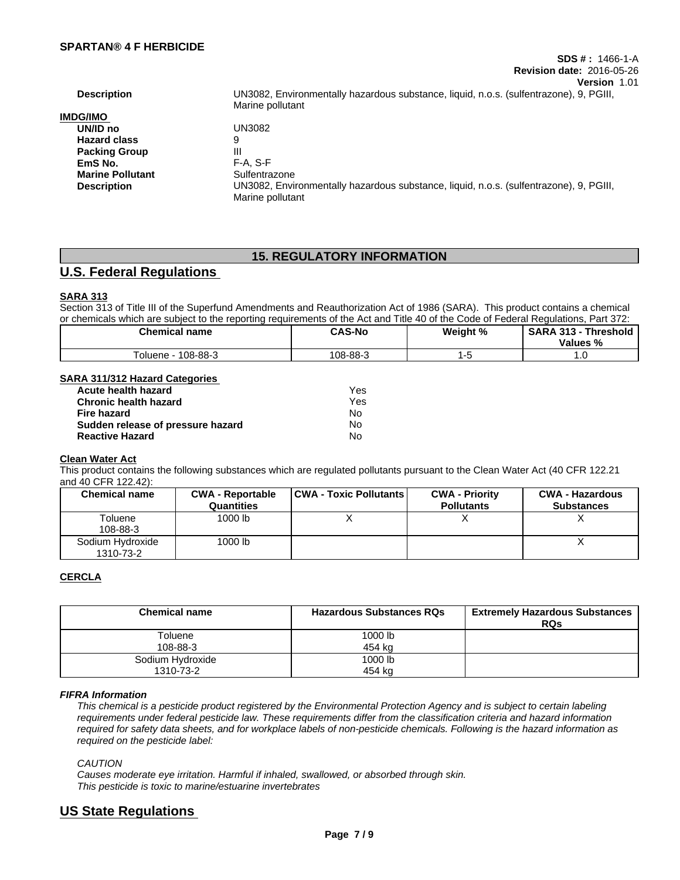| <b>Description</b>      | UN3082, Environmentally hazardous substance, liquid, n.o.s. (sulfentrazone), 9, PGIII,<br>Marine pollutant |
|-------------------------|------------------------------------------------------------------------------------------------------------|
| <b>IMDG/IMO</b>         |                                                                                                            |
| UN/ID no                | UN3082                                                                                                     |
| <b>Hazard class</b>     | 9                                                                                                          |
| <b>Packing Group</b>    | Ш                                                                                                          |
| EmS No.                 | $F-A. S-F$                                                                                                 |
| <b>Marine Pollutant</b> | Sulfentrazone                                                                                              |
| <b>Description</b>      | UN3082, Environmentally hazardous substance, liquid, n.o.s. (sulfentrazone), 9, PGIII,<br>Marine pollutant |
|                         |                                                                                                            |

# **15. REGULATORY INFORMATION**

# **U.S. Federal Regulations**

## **SARA 313**

Section 313 of Title III of the Superfund Amendments and Reauthorization Act of 1986 (SARA). This product contains a chemical or chemicals which are subject to the reporting requirements of the Act and Title 40 of the Code of Federal Regulations, Part 372:

| <b>Chemical name</b>   | <b>CAS-No</b> | Weight % | <b>SARA</b><br>- 242<br>íhreshold<br>הור<br>$\overline{\phantom{a}}$<br>Values<br>. ט |
|------------------------|---------------|----------|---------------------------------------------------------------------------------------|
| 108-88-3<br>' oluene · | 108-88-3      |          | ں ،                                                                                   |

## **SARA 311/312 Hazard Categories**

| Acute health hazard               | Yes |
|-----------------------------------|-----|
| <b>Chronic health hazard</b>      | Yes |
| Fire hazard                       | N٥  |
| Sudden release of pressure hazard | No  |
| <b>Reactive Hazard</b>            | No  |

## **Clean Water Act**

This product contains the following substances which are regulated pollutants pursuant to the Clean Water Act (40 CFR 122.21 and 40 CFR 122.42):

| <b>Chemical name</b>          | <b>CWA - Reportable</b><br>Quantities | <b>CWA - Toxic Pollutants</b> | <b>CWA - Priority</b><br><b>Pollutants</b> | <b>CWA - Hazardous</b><br><b>Substances</b> |
|-------------------------------|---------------------------------------|-------------------------------|--------------------------------------------|---------------------------------------------|
| Toluene<br>108-88-3           | 1000 lb                               | ,,                            |                                            |                                             |
| Sodium Hydroxide<br>1310-73-2 | 1000 lb                               |                               |                                            |                                             |

## **CERCLA**

| <b>Chemical name</b> | <b>Hazardous Substances RQs</b> | <b>Extremely Hazardous Substances</b><br><b>RQs</b> |
|----------------------|---------------------------------|-----------------------------------------------------|
| Toluene              | 1000 lb                         |                                                     |
| 108-88-3             | 454 kg                          |                                                     |
| Sodium Hydroxide     | 1000 lb                         |                                                     |
| 1310-73-2            | 454 kg                          |                                                     |

#### *FIFRA Information*

This chemical is a pesticide product registered by the Environmental Protection Agency and is subject to certain labeling requirements under federal pesticide law. These requirements differ from the classification criteria and hazard information required for safety data sheets, and for workplace labels of non-pesticide chemicals. Following is the hazard information as *required on the pesticide label:*

*CAUTION*

*Causes moderate eye irritation. Harmful if inhaled, swallowed, or absorbed through skin. This pesticide is toxic to marine/estuarine invertebrates*

# **US State Regulations**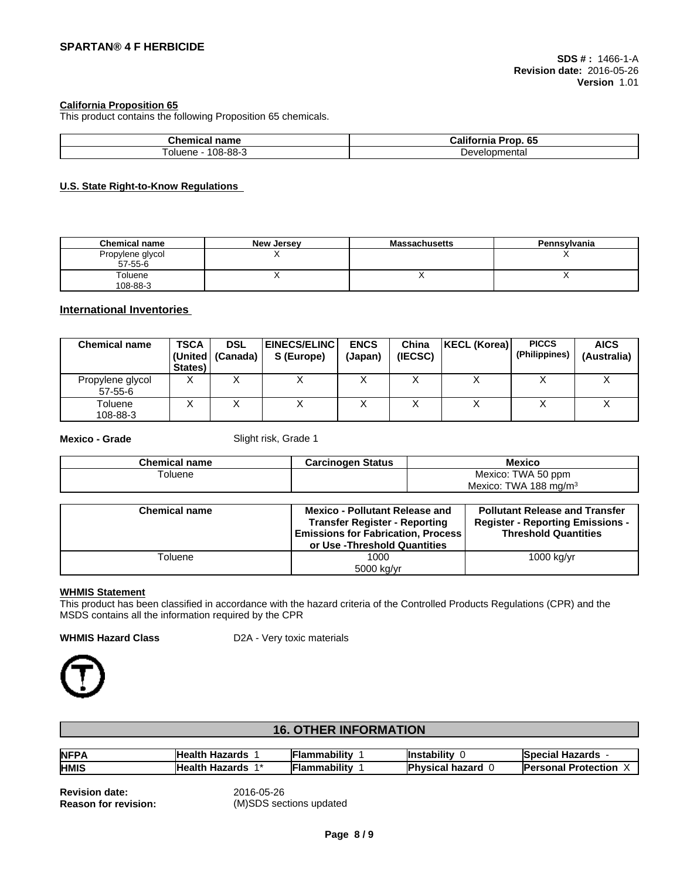## **California Proposition 65**

This product contains the following Proposition 65 chemicals.

| <b>OLAN</b><br>name<br>. . п<br>чни<br>-- | .<br>$\sim$<br>Pron<br>-----<br>$\overline{\phantom{a}}$<br>65<br>ше<br>ног |
|-------------------------------------------|-----------------------------------------------------------------------------|
| $08 - 88 - 3$                             | relopmenta.                                                                 |
| oluene                                    | ⊃ev∕                                                                        |

#### **U.S. State Right-to-Know Regulations**

| <b>Chemical name</b> | <b>New Jersey</b> | <b>Massachusetts</b> | Pennsylvania |
|----------------------|-------------------|----------------------|--------------|
| Propylene glycol     |                   |                      | . .          |
| 57-55-6              |                   |                      |              |
| Toluene              |                   |                      |              |
| 108-88-3             |                   |                      |              |

## **International Inventories**

| <b>Chemical name</b>              | <b>TSCA</b><br>States) | <b>DSL</b><br>  (United   (Canada) | <b>EINECS/ELINC</b><br>S (Europe) | <b>ENCS</b><br>(Japan) | China<br>(IECSC) | KECL (Korea) | <b>PICCS</b><br>(Philippines) | <b>AICS</b><br>(Australia) |
|-----------------------------------|------------------------|------------------------------------|-----------------------------------|------------------------|------------------|--------------|-------------------------------|----------------------------|
| Propylene glycol<br>$57 - 55 - 6$ | v<br>∧                 |                                    | ↗                                 |                        |                  |              |                               |                            |
| Toluene<br>108-88-3               | ⌒                      | ↗                                  | ↗                                 |                        |                  |              | $\lambda$                     | ↗                          |

**Mexico - Grade** Slight risk, Grade 1

| <b>Chemical name</b> | Carcinogen Status | <b>Mexicc</b>                                       |
|----------------------|-------------------|-----------------------------------------------------|
| l oluene             |                   | TWA 50 ppm<br>Mexico:                               |
|                      |                   | Mexico <sup>®</sup><br>188 ma/m $^{\circ}$<br>TWA . |

| <b>Chemical name</b> | <b>Mexico - Pollutant Release and</b><br><b>Transfer Register - Reporting</b><br><b>Emissions for Fabrication, Process</b><br>or Use -Threshold Quantities | <b>Pollutant Release and Transfer</b><br><b>Register - Reporting Emissions -</b><br><b>Threshold Quantities</b> |
|----------------------|------------------------------------------------------------------------------------------------------------------------------------------------------------|-----------------------------------------------------------------------------------------------------------------|
| Toluene              | 1000<br>5000 kg/yr                                                                                                                                         | 1000 kg/yr                                                                                                      |

#### **WHMIS Statement**

This product has been classified in accordance with the hazard criteria of the Controlled Products Regulations (CPR) and the MSDS contains all the information required by the CPR

**WHMIS Hazard Class** D2A - Very toxic materials



# **16. OTHER INFORMATION**

| NFP/        | <b>Health</b><br>Hazards<br>Hov. | .<br>. ıammabilitv | <br><b>I</b> nstability | Hazards<br>SDECI?'<br>есы  |
|-------------|----------------------------------|--------------------|-------------------------|----------------------------|
| <b>HMIS</b> | <b>Health</b><br>-<br>Hazards    | .<br>. ıammabilitv | D<br>hazard<br>hvsical  | <b>Protection</b><br>sonal |

**Revision date:** 2016-05-26

**Reason for revision:** (M)SDS sections updated